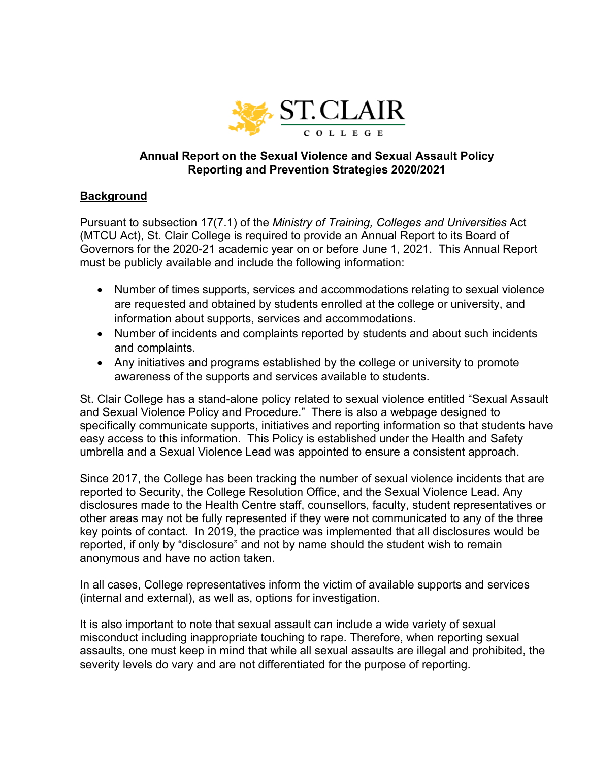

# **Annual Report on the Sexual Violence and Sexual Assault Policy Reporting and Prevention Strategies 2020/2021**

# **Background**

Pursuant to subsection 17(7.1) of the *Ministry of Training, Colleges and Universities* Act (MTCU Act), St. Clair College is required to provide an Annual Report to its Board of Governors for the 2020-21 academic year on or before June 1, 2021. This Annual Report must be publicly available and include the following information:

- Number of times supports, services and accommodations relating to sexual violence are requested and obtained by students enrolled at the college or university, and information about supports, services and accommodations.
- Number of incidents and complaints reported by students and about such incidents and complaints.
- Any initiatives and programs established by the college or university to promote awareness of the supports and services available to students.

St. Clair College has a stand-alone policy related to sexual violence entitled "Sexual Assault and Sexual Violence Policy and Procedure." There is also a webpage designed to specifically communicate supports, initiatives and reporting information so that students have easy access to this information. This Policy is established under the Health and Safety umbrella and a Sexual Violence Lead was appointed to ensure a consistent approach.

Since 2017, the College has been tracking the number of sexual violence incidents that are reported to Security, the College Resolution Office, and the Sexual Violence Lead. Any disclosures made to the Health Centre staff, counsellors, faculty, student representatives or other areas may not be fully represented if they were not communicated to any of the three key points of contact. In 2019, the practice was implemented that all disclosures would be reported, if only by "disclosure" and not by name should the student wish to remain anonymous and have no action taken.

In all cases, College representatives inform the victim of available supports and services (internal and external), as well as, options for investigation.

It is also important to note that sexual assault can include a wide variety of sexual misconduct including inappropriate touching to rape. Therefore, when reporting sexual assaults, one must keep in mind that while all sexual assaults are illegal and prohibited, the severity levels do vary and are not differentiated for the purpose of reporting.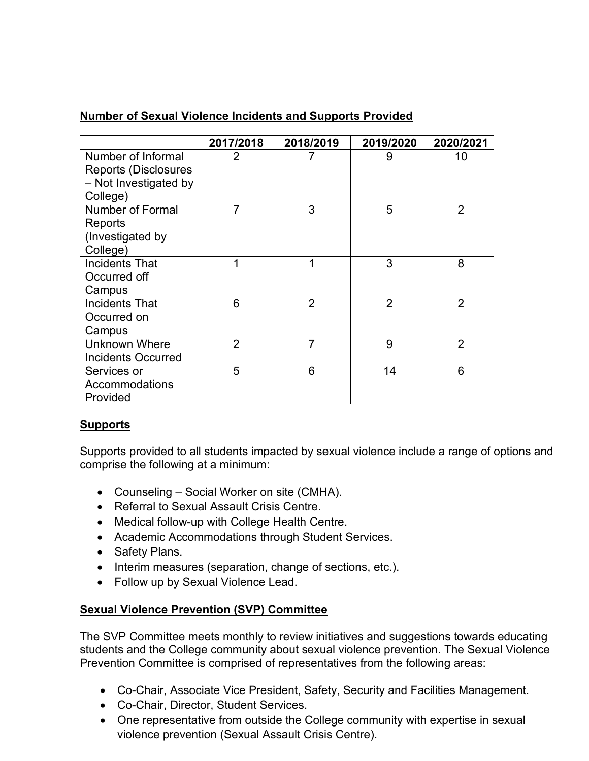# **Number of Sexual Violence Incidents and Supports Provided**

|                             | 2017/2018      | 2018/2019      | 2019/2020      | 2020/2021      |
|-----------------------------|----------------|----------------|----------------|----------------|
| Number of Informal          | 2              | 7              | 9              | 10             |
| <b>Reports (Disclosures</b> |                |                |                |                |
| - Not Investigated by       |                |                |                |                |
| College)                    |                |                |                |                |
| <b>Number of Formal</b>     | 7              | 3              | 5              | $\overline{2}$ |
| Reports                     |                |                |                |                |
| (Investigated by            |                |                |                |                |
| College)                    |                |                |                |                |
| <b>Incidents That</b>       | 1              | 1              | 3              | 8              |
| Occurred off                |                |                |                |                |
| Campus                      |                |                |                |                |
| Incidents That              | 6              | $\overline{2}$ | $\overline{2}$ | $\overline{2}$ |
| Occurred on                 |                |                |                |                |
| Campus                      |                |                |                |                |
| <b>Unknown Where</b>        | $\overline{2}$ | $\overline{7}$ | 9              | $\overline{2}$ |
| <b>Incidents Occurred</b>   |                |                |                |                |
| Services or                 | 5              | 6              | 14             | 6              |
| Accommodations              |                |                |                |                |
| Provided                    |                |                |                |                |

# **Supports**

Supports provided to all students impacted by sexual violence include a range of options and comprise the following at a minimum:

- Counseling Social Worker on site (CMHA).
- Referral to Sexual Assault Crisis Centre.
- Medical follow-up with College Health Centre.
- Academic Accommodations through Student Services.
- Safety Plans.
- Interim measures (separation, change of sections, etc.).
- Follow up by Sexual Violence Lead.

# **Sexual Violence Prevention (SVP) Committee**

The SVP Committee meets monthly to review initiatives and suggestions towards educating students and the College community about sexual violence prevention. The Sexual Violence Prevention Committee is comprised of representatives from the following areas:

- Co-Chair, Associate Vice President, Safety, Security and Facilities Management.
- Co-Chair, Director, Student Services.
- One representative from outside the College community with expertise in sexual violence prevention (Sexual Assault Crisis Centre).